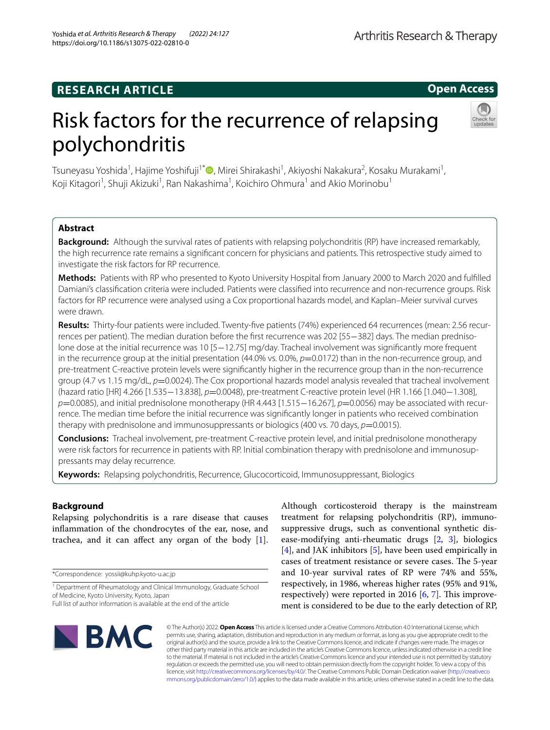## **RESEARCH ARTICLE**

**Open Access**

# Risk factors for the recurrence of relapsing polychondritis



Tsuneyasu Yoshida<sup>1</sup>[,](http://orcid.org/0000-0001-7082-4900) Hajime Yoshifuji<sup>1\*</sup>®, Mirei Shirakashi<sup>1</sup>, Akiyoshi Nakakura<sup>2</sup>, Kosaku Murakami<sup>1</sup>, Koji Kitagori<sup>1</sup>, Shuji Akizuki<sup>1</sup>, Ran Nakashima<sup>1</sup>, Koichiro Ohmura<sup>1</sup> and Akio Morinobu<sup>1</sup>

## **Abstract**

**Background:** Although the survival rates of patients with relapsing polychondritis (RP) have increased remarkably, the high recurrence rate remains a signifcant concern for physicians and patients. This retrospective study aimed to investigate the risk factors for RP recurrence.

**Methods:** Patients with RP who presented to Kyoto University Hospital from January 2000 to March 2020 and fulflled Damiani's classifcation criteria were included. Patients were classifed into recurrence and non-recurrence groups. Risk factors for RP recurrence were analysed using a Cox proportional hazards model, and Kaplan–Meier survival curves were drawn.

**Results:** Thirty-four patients were included. Twenty-fve patients (74%) experienced 64 recurrences (mean: 2.56 recurrences per patient). The median duration before the frst recurrence was 202 [55−382] days. The median prednisolone dose at the initial recurrence was 10 [5−12.75] mg/day. Tracheal involvement was signifcantly more frequent in the recurrence group at the initial presentation (44.0% vs. 0.0%,  $p=0.0172$ ) than in the non-recurrence group, and pre-treatment C-reactive protein levels were signifcantly higher in the recurrence group than in the non-recurrence group (4.7 vs 1.15 mg/dL, *p*=0.0024). The Cox proportional hazards model analysis revealed that tracheal involvement (hazard ratio [HR] 4.266 [1.535−13.838], *p*=0.0048), pre-treatment C-reactive protein level (HR 1.166 [1.040−1.308], *p*=0.0085), and initial prednisolone monotherapy (HR 4.443 [1.515–16.267], *p*=0.0056) may be associated with recurrence. The median time before the initial recurrence was signifcantly longer in patients who received combination therapy with prednisolone and immunosuppressants or biologics (400 vs. 70 days,  $p=0.0015$ ).

**Conclusions:** Tracheal involvement, pre-treatment C-reactive protein level, and initial prednisolone monotherapy were risk factors for recurrence in patients with RP. Initial combination therapy with prednisolone and immunosuppressants may delay recurrence.

**Keywords:** Relapsing polychondritis, Recurrence, Glucocorticoid, Immunosuppressant, Biologics

## **Background**

Relapsing polychondritis is a rare disease that causes infammation of the chondrocytes of the ear, nose, and trachea, and it can afect any organ of the body [\[1](#page-7-0)].

\*Correspondence: yossii@kuhp.kyoto-u.ac.jp





© The Author(s) 2022. **Open Access** This article is licensed under a Creative Commons Attribution 4.0 International License, which permits use, sharing, adaptation, distribution and reproduction in any medium or format, as long as you give appropriate credit to the original author(s) and the source, provide a link to the Creative Commons licence, and indicate if changes were made. The images or other third party material in this article are included in the article's Creative Commons licence, unless indicated otherwise in a credit line to the material. If material is not included in the article's Creative Commons licence and your intended use is not permitted by statutory regulation or exceeds the permitted use, you will need to obtain permission directly from the copyright holder. To view a copy of this licence, visit [http://creativecommons.org/licenses/by/4.0/.](http://creativecommons.org/licenses/by/4.0/) The Creative Commons Public Domain Dedication waiver ([http://creativeco](http://creativecommons.org/publicdomain/zero/1.0/) [mmons.org/publicdomain/zero/1.0/](http://creativecommons.org/publicdomain/zero/1.0/)) applies to the data made available in this article, unless otherwise stated in a credit line to the data.

<sup>&</sup>lt;sup>1</sup> Department of Rheumatology and Clinical Immunology, Graduate School of Medicine, Kyoto University, Kyoto, Japan

Full list of author information is available at the end of the article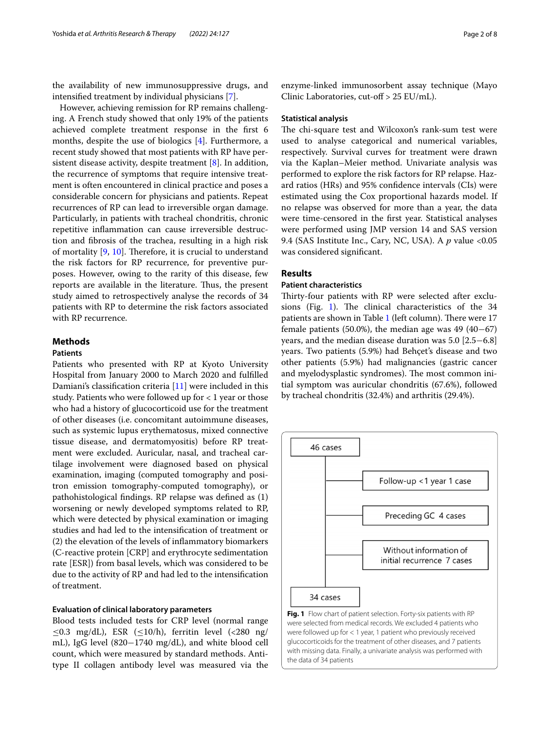the availability of new immunosuppressive drugs, and intensifed treatment by individual physicians [[7\]](#page-7-6).

However, achieving remission for RP remains challenging. A French study showed that only 19% of the patients achieved complete treatment response in the frst 6 months, despite the use of biologics [\[4](#page-7-3)]. Furthermore, a recent study showed that most patients with RP have persistent disease activity, despite treatment [[8\]](#page-7-7). In addition, the recurrence of symptoms that require intensive treatment is often encountered in clinical practice and poses a considerable concern for physicians and patients. Repeat recurrences of RP can lead to irreversible organ damage. Particularly, in patients with tracheal chondritis, chronic repetitive infammation can cause irreversible destruction and fbrosis of the trachea, resulting in a high risk of mortality  $[9, 10]$  $[9, 10]$  $[9, 10]$  $[9, 10]$  $[9, 10]$ . Therefore, it is crucial to understand the risk factors for RP recurrence, for preventive purposes. However, owing to the rarity of this disease, few reports are available in the literature. Thus, the present study aimed to retrospectively analyse the records of 34 patients with RP to determine the risk factors associated with RP recurrence.

## **Methods**

## **Patients**

Patients who presented with RP at Kyoto University Hospital from January 2000 to March 2020 and fulflled Damiani's classifcation criteria [[11](#page-7-10)] were included in this study. Patients who were followed up for < 1 year or those who had a history of glucocorticoid use for the treatment of other diseases (i.e. concomitant autoimmune diseases, such as systemic lupus erythematosus, mixed connective tissue disease, and dermatomyositis) before RP treatment were excluded. Auricular, nasal, and tracheal cartilage involvement were diagnosed based on physical examination, imaging (computed tomography and positron emission tomography-computed tomography), or pathohistological fndings. RP relapse was defned as (1) worsening or newly developed symptoms related to RP, which were detected by physical examination or imaging studies and had led to the intensifcation of treatment or (2) the elevation of the levels of infammatory biomarkers (C-reactive protein [CRP] and erythrocyte sedimentation rate [ESR]) from basal levels, which was considered to be due to the activity of RP and had led to the intensifcation of treatment.

## **Evaluation of clinical laboratory parameters**

Blood tests included tests for CRP level (normal range  $\leq$ 0.3 mg/dL), ESR ( $\leq$ 10/h), ferritin level (<280 ng/ mL), IgG level (820−1740 mg/dL), and white blood cell count, which were measured by standard methods. Antitype II collagen antibody level was measured via the enzyme-linked immunosorbent assay technique (Mayo Clinic Laboratories, cut-of > 25 EU/mL).

#### **Statistical analysis**

The chi-square test and Wilcoxon's rank-sum test were used to analyse categorical and numerical variables, respectively. Survival curves for treatment were drawn via the Kaplan–Meier method. Univariate analysis was performed to explore the risk factors for RP relapse. Hazard ratios (HRs) and 95% confdence intervals (CIs) were estimated using the Cox proportional hazards model. If no relapse was observed for more than a year, the data were time-censored in the frst year. Statistical analyses were performed using JMP version 14 and SAS version 9.4 (SAS Institute Inc., Cary, NC, USA). A *p* value <0.05 was considered signifcant.

#### **Results**

#### **Patient characteristics**

Thirty-four patients with RP were selected after exclu-sions (Fig. [1\)](#page-1-0). The clinical characteristics of the  $34$ patients are shown in Table [1](#page-2-0) (left column). There were 17 female patients (50.0%), the median age was 49 (40−67) years, and the median disease duration was 5.0 [2.5−6.8] years. Two patients (5.9%) had Behçet's disease and two other patients (5.9%) had malignancies (gastric cancer and myelodysplastic syndromes). The most common initial symptom was auricular chondritis (67.6%), followed by tracheal chondritis (32.4%) and arthritis (29.4%).



<span id="page-1-0"></span>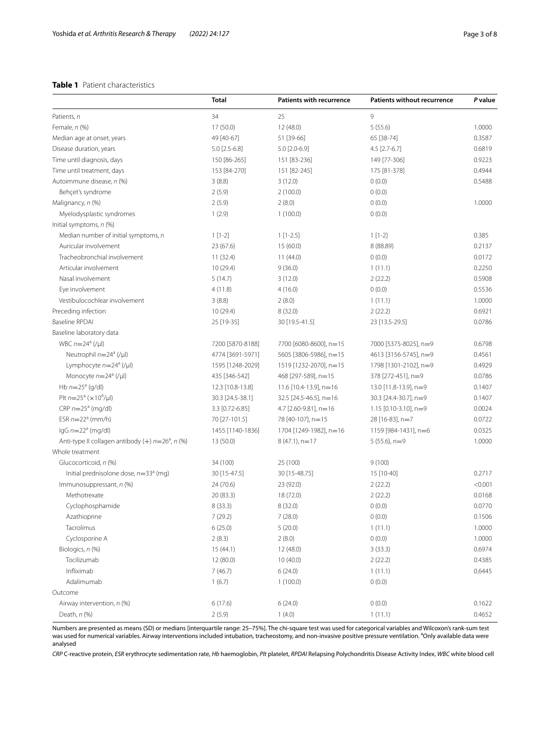## <span id="page-2-0"></span>**Table 1** Patient characteristics

|                                                                | <b>Total</b>     | <b>Patients with recurrence</b> | <b>Patients without recurrence</b> | P value |
|----------------------------------------------------------------|------------------|---------------------------------|------------------------------------|---------|
| Patients, n                                                    | 34               | 25                              | 9                                  |         |
| Female, $n$ (%)                                                | 17 (50.0)        | 12 (48.0)                       | 5(55.6)                            | 1.0000  |
| Median age at onset, years                                     | 49 [40-67]       | 51 [39-66]                      | 65 [38-74]                         | 0.3587  |
| Disease duration, years                                        | $5.0$ [2.5-6.8]  | 5.0 [2.0-6.9]                   | $4.5$ [2.7-6.7]                    | 0.6819  |
| Time until diagnosis, days                                     | 150 [86-265]     | 151 [83-236]                    | 149 [77-306]                       | 0.9223  |
| Time until treatment, days                                     | 153 [84-270]     | 151 [82-245]                    | 175 [81-378]                       | 0.4944  |
| Autoimmune disease, n (%)                                      | 3(8.8)           | 3(12.0)                         | 0(0.0)                             | 0.5488  |
| Behçet's syndrome                                              | 2(5.9)           | 2(100.0)                        | 0(0.0)                             |         |
| Malignancy, n (%)                                              | 2(5.9)           | 2(8.0)                          | 0(0.0)                             | 1.0000  |
| Myelodysplastic syndromes                                      | 1(2.9)           | 1(100.0)                        | 0(0.0)                             |         |
| Initial symptoms, n (%)                                        |                  |                                 |                                    |         |
| Median number of initial symptoms, n                           | $1[1-2]$         | $1[1-2.5]$                      | $1[1-2]$                           | 0.385   |
| Auricular involvement                                          | 23 (67.6)        | 15 (60.0)                       | 8 (88.89)                          | 0.2137  |
| Tracheobronchial involvement                                   | 11(32.4)         | 11(44.0)                        | 0(0.0)                             | 0.0172  |
| Articular involvement                                          | 10(29.4)         | 9(36.0)                         | 1(11.1)                            | 0.2250  |
| Nasal involvement                                              | 5(14.7)          | 3(12.0)                         | 2(22.2)                            | 0.5908  |
| Eye involvement                                                | 4(11.8)          | 4(16.0)                         | 0(0.0)                             | 0.5536  |
| Vestibulocochlear involvement                                  | 3(8.8)           | 2(8.0)                          | 1(11.1)                            | 1.0000  |
| Preceding infection                                            | 10(29.4)         | 8 (32.0)                        | 2(22.2)                            | 0.6921  |
| <b>Baseline RPDAI</b>                                          | 25 [19-35]       | 30 [19.5-41.5]                  | 23 [13.5-29.5]                     | 0.0786  |
| Baseline laboratory data                                       |                  |                                 |                                    |         |
| WBC $n=24^a$ (/µl)                                             | 7200 [5870-8188] | 7700 [6080-8600], n=15          | 7000 [5375-8025], n=9              | 0.6798  |
| Neutrophil $n=24^a$ (/µl)                                      | 4774 [3691-5971] | 5605 [3806-5986], n=15          | 4613 [3156-5745], n=9              | 0.4561  |
| Lymphocyte $n=24^a$ (/µl)                                      | 1595 [1248-2029] | 1519 [1232-2070], n=15          | 1798 [1301-2102], n=9              | 0.4929  |
| Monocyte $n=24^a$ (/µl)                                        | 435 [346-542]    | 468 [297-589], n=15             | 378 [272-451], n=9                 | 0.0786  |
| Hb $n=25^a$ (g/dl)                                             | 12.3 [10.8-13.8] | 11.6 [10.4-13.9], n=16          | 13.0 [11.8-13.9], n=9              | 0.1407  |
| Plt $n=25^a$ ( $\times 10^4$ /µl)                              | 30.3 [24.5-38.1] | 32.5 [24.5-46.5], n=16          | 30.3 [24.4-30.7], n=9              | 0.1407  |
| $CRP n=25a (mq/dl)$                                            | 3.3 [0.72-6.85]  | 4.7 [2.60-9.81], n=16           | 1.15 $[0.10 - 3.10]$ , n=9         | 0.0024  |
| ESR $n=22^a$ (mm/h)                                            | 70 [27-101.5]    | 78 [40-107], n=15               | 28 [16-83], n=7                    | 0.0722  |
| $lgG n=22a (mq/dl)$                                            | 1455 [1140-1836] | 1704 [1249-1982], n=16          | 1159 [984-1431], n=6               | 0.0325  |
| Anti-type II collagen antibody $(+)$ n=26 <sup>a</sup> , n (%) | 13 (50.0)        | $8(47.1)$ , n=17                | $5(55.6)$ , n=9                    | 1.0000  |
| Whole treatment                                                |                  |                                 |                                    |         |
| Glucocorticoid, n (%)                                          | 34 (100)         | 25 (100)                        | 9(100)                             |         |
| Initial prednisolone dose, $n=33^a$ (mg)                       | 30 [15-47.5]     | 30 [15-48.75]                   | 15 [10-40]                         | 0.2717  |
| Immunosuppressant, n (%)                                       | 24 (70.6)        | 23 (92.0)                       | 2(22.2)                            | < 0.001 |
| Methotrexate                                                   | 20 (83.3)        | 18 (72.0)                       | 2(22.2)                            | 0.0168  |
| Cyclophosphamide                                               | 8 (33.3)         | 8 (32.0)                        | 0(0.0)                             | 0.0770  |
| Azathioprine                                                   | 7(29.2)          | 7(28.0)                         | 0(0.0)                             | 0.1506  |
| Tacrolimus                                                     | 6(25.0)          | 5(20.0)                         | 1(11.1)                            | 1.0000  |
| Cyclosporine A                                                 | 2(8.3)           | 2(8.0)                          | 0(0.0)                             | 1.0000  |
| Biologics, n (%)                                               | 15 (44.1)        | 12 (48.0)                       | 3(33.3)                            | 0.6974  |
| Tocilizumab                                                    | 12 (80.0)        | 10(40.0)                        | 2(22.2)                            | 0.4385  |
| Infliximab                                                     | 7(46.7)          | 6(24.0)                         | 1(11.1)                            | 0.6445  |
| Adalimumab                                                     | 1(6.7)           | 1(100.0)                        | 0(0.0)                             |         |
| Outcome                                                        |                  |                                 |                                    |         |
| Airway intervention, n (%)                                     | 6(17.6)          | 6(24.0)                         | 0(0.0)                             | 0.1622  |
| Death, $n$ (%)                                                 | 2(5.9)           | 1(4.0)                          | 1(11.1)                            | 0.4652  |

Numbers are presented as means (SD) or medians [interquartile range: 25–75%]. The chi-square test was used for categorical variables and Wilcoxon's rank-sum test was used for numerical variables. Airway interventions included intubation, tracheostomy, and non-invasive positive pressure ventilation. <sup>a</sup>Only available data were analysed

*CRP* C-reactive protein, *ESR* erythrocyte sedimentation rate, *Hb* haemoglobin, *Plt* platelet, *RPDAI* Relapsing Polychondritis Disease Activity Index, *WBC* white blood cell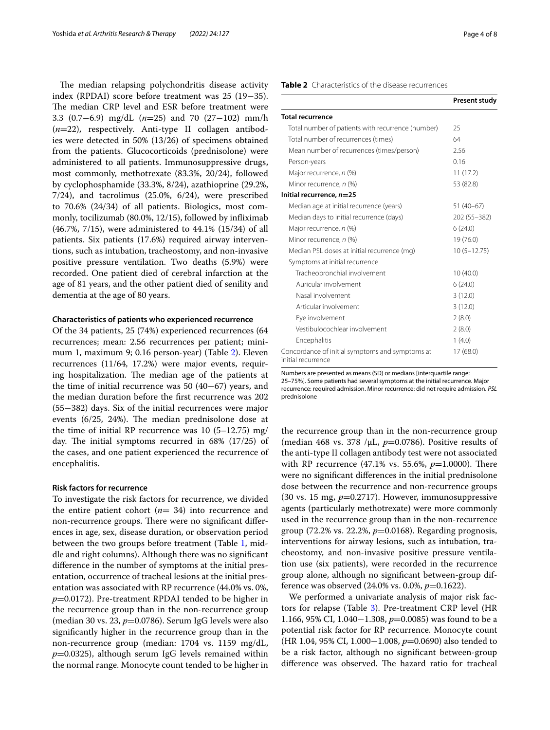The median relapsing polychondritis disease activity index (RPDAI) score before treatment was 25 (19−35). The median CRP level and ESR before treatment were 3.3 (0.7−6.9) mg/dL (*n*=25) and 70 (27−102) mm/h (*n*=22), respectively. Anti-type II collagen antibodies were detected in 50% (13/26) of specimens obtained from the patients. Glucocorticoids (prednisolone) were administered to all patients. Immunosuppressive drugs, most commonly, methotrexate (83.3%, 20/24), followed by cyclophosphamide (33.3%, 8/24), azathioprine (29.2%, 7/24), and tacrolimus (25.0%, 6/24), were prescribed to 70.6% (24/34) of all patients. Biologics, most commonly, tocilizumab (80.0%, 12/15), followed by infiximab (46.7%, 7/15), were administered to 44.1% (15/34) of all patients. Six patients (17.6%) required airway interventions, such as intubation, tracheostomy, and non-invasive positive pressure ventilation. Two deaths (5.9%) were recorded. One patient died of cerebral infarction at the age of 81 years, and the other patient died of senility and dementia at the age of 80 years.

#### **Characteristics of patients who experienced recurrence**

Of the 34 patients, 25 (74%) experienced recurrences (64 recurrences; mean: 2.56 recurrences per patient; minimum 1, maximum 9; 0.16 person-year) (Table [2\)](#page-3-0). Eleven recurrences (11/64, 17.2%) were major events, requiring hospitalization. The median age of the patients at the time of initial recurrence was 50 (40−67) years, and the median duration before the frst recurrence was 202 (55−382) days. Six of the initial recurrences were major events  $(6/25, 24%)$ . The median prednisolone dose at the time of initial RP recurrence was 10 (5–12.75) mg/ day. The initial symptoms recurred in  $68\%$  (17/25) of the cases, and one patient experienced the recurrence of encephalitis.

## **Risk factors for recurrence**

To investigate the risk factors for recurrence, we divided the entire patient cohort (*n*= 34) into recurrence and non-recurrence groups. There were no significant differences in age, sex, disease duration, or observation period between the two groups before treatment (Table [1,](#page-2-0) middle and right columns). Although there was no signifcant diference in the number of symptoms at the initial presentation, occurrence of tracheal lesions at the initial presentation was associated with RP recurrence (44.0% vs. 0%, *p*=0.0172). Pre-treatment RPDAI tended to be higher in the recurrence group than in the non-recurrence group (median 30 vs. 23, *p*=0.0786). Serum IgG levels were also signifcantly higher in the recurrence group than in the non-recurrence group (median: 1704 vs. 1159 mg/dL,  $p=0.0325$ ), although serum IgG levels remained within the normal range. Monocyte count tended to be higher in

#### <span id="page-3-0"></span>**Table 2** Characteristics of the disease recurrences

|                                                                       | Present study   |
|-----------------------------------------------------------------------|-----------------|
| <b>Total recurrence</b>                                               |                 |
| Total number of patients with recurrence (number)                     | 25              |
| Total number of recurrences (times)                                   | 64              |
| Mean number of recurrences (times/person)                             | 2.56            |
| Person-years                                                          | 0.16            |
| Major recurrence, n (%)                                               | 11(17.2)        |
| Minor recurrence, n (%)                                               | 53 (82.8)       |
| Initial recurrence, n=25                                              |                 |
| Median age at initial recurrence (years)                              | $51(40-67)$     |
| Median days to initial recurrence (days)                              | 202 (55-382)    |
| Major recurrence, n (%)                                               | 6(24.0)         |
| Minor recurrence, n (%)                                               | 19 (76.0)       |
| Median PSL doses at initial recurrence (mg)                           | $10(5 - 12.75)$ |
| Symptoms at initial recurrence                                        |                 |
| Tracheobronchial involvement                                          | 10(40.0)        |
| Auricular involvement                                                 | 6(24.0)         |
| Nasal involvement                                                     | 3(12.0)         |
| Articular involvement                                                 | 3(12.0)         |
| Eye involvement                                                       | 2(8.0)          |
| Vestibulocochlear involvement                                         | 2(8.0)          |
| Encephalitis                                                          | 1(4.0)          |
| Concordance of initial symptoms and symptoms at<br>initial recurrence | 17 (68.0)       |

Numbers are presented as means (SD) or medians [interquartile range:

25–75%]. Some patients had several symptoms at the initial recurrence. Major recurrence: required admission. Minor recurrence: did not require admission. *PSL* prednisolone

the recurrence group than in the non-recurrence group (median 468 vs. 378 /μL, *p*=0.0786). Positive results of the anti-type II collagen antibody test were not associated with RP recurrence (47.1% vs. 55.6%, *p*=1.0000). There were no signifcant diferences in the initial prednisolone dose between the recurrence and non-recurrence groups (30 vs. 15 mg, *p*=0.2717). However, immunosuppressive agents (particularly methotrexate) were more commonly used in the recurrence group than in the non-recurrence group (72.2% vs. 22.2%, *p*=0.0168). Regarding prognosis, interventions for airway lesions, such as intubation, tracheostomy, and non-invasive positive pressure ventilation use (six patients), were recorded in the recurrence group alone, although no signifcant between-group difference was observed (24.0% vs. 0.0%, *p*=0.1622).

We performed a univariate analysis of major risk factors for relapse (Table [3](#page-4-0)). Pre-treatment CRP level (HR 1.166, 95% CI, 1.040−1.308, *p*=0.0085) was found to be a potential risk factor for RP recurrence. Monocyte count (HR 1.04, 95% CI, 1.000−1.008, *p*=0.0690) also tended to be a risk factor, although no signifcant between-group difference was observed. The hazard ratio for tracheal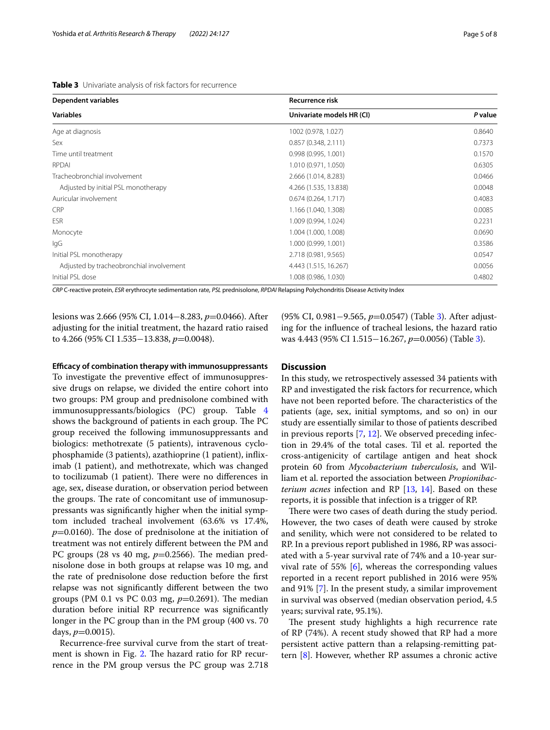<span id="page-4-0"></span>

| Table 3 Univariate analysis of risk factors for recurrence |  |
|------------------------------------------------------------|--|
|------------------------------------------------------------|--|

| <b>Dependent variables</b>               | <b>Recurrence risk</b>    |         |  |
|------------------------------------------|---------------------------|---------|--|
| <b>Variables</b>                         | Univariate models HR (CI) | P value |  |
| Age at diagnosis                         | 1002 (0.978, 1.027)       | 0.8640  |  |
| Sex                                      | 0.857(0.348, 2.111)       | 0.7373  |  |
| Time until treatment                     | 0.998(0.995, 1.001)       | 0.1570  |  |
| RPDAI                                    | 1.010 (0.971, 1.050)      | 0.6305  |  |
| Tracheobronchial involvement             | 2.666 (1.014, 8.283)      | 0.0466  |  |
| Adjusted by initial PSL monotherapy      | 4.266 (1.535, 13.838)     | 0.0048  |  |
| Auricular involvement                    | 0.674(0.264, 1.717)       | 0.4083  |  |
| CRP                                      | 1.166 (1.040, 1.308)      | 0.0085  |  |
| <b>ESR</b>                               | 1.009 (0.994, 1.024)      | 0.2231  |  |
| Monocyte                                 | 1.004 (1.000, 1.008)      | 0.0690  |  |
| lgG                                      | 1.000 (0.999, 1.001)      | 0.3586  |  |
| Initial PSL monotherapy                  | 2.718 (0.981, 9.565)      | 0.0547  |  |
| Adjusted by tracheobronchial involvement | 4.443 (1.515, 16.267)     | 0.0056  |  |
| Initial PSL dose                         | 1.008 (0.986, 1.030)      | 0.4802  |  |

*CRP* C-reactive protein, *ESR* erythrocyte sedimentation rate, *PSL* prednisolone, *RPDAI* Relapsing Polychondritis Disease Activity Index

lesions was 2.666 (95% CI, 1.014−8.283, *p*=0.0466). After adjusting for the initial treatment, the hazard ratio raised to 4.266 (95% CI 1.535−13.838, *p*=0.0048).

#### **Efcacy of combination therapy with immunosuppressants**

To investigate the preventive effect of immunosuppressive drugs on relapse, we divided the entire cohort into two groups: PM group and prednisolone combined with immunosuppressants/biologics (PC) group. Table [4](#page-5-0) shows the background of patients in each group. The PC group received the following immunosuppressants and biologics: methotrexate (5 patients), intravenous cyclophosphamide (3 patients), azathioprine (1 patient), infiximab (1 patient), and methotrexate, which was changed to tocilizumab (1 patient). There were no differences in age, sex, disease duration, or observation period between the groups. The rate of concomitant use of immunosuppressants was signifcantly higher when the initial symptom included tracheal involvement (63.6% vs 17.4%,  $p=0.0160$ ). The dose of prednisolone at the initiation of treatment was not entirely diferent between the PM and PC groups (28 vs 40 mg,  $p=0.2566$ ). The median prednisolone dose in both groups at relapse was 10 mg, and the rate of prednisolone dose reduction before the frst relapse was not signifcantly diferent between the two groups (PM 0.1 vs PC 0.03 mg,  $p=0.2691$ ). The median duration before initial RP recurrence was signifcantly longer in the PC group than in the PM group (400 vs. 70 days,  $p=0.0015$ ).

Recurrence-free survival curve from the start of treat-ment is shown in Fig. [2](#page-6-0). The hazard ratio for RP recurrence in the PM group versus the PC group was 2.718

(95% CI, 0.981−9.565, *p*=0.0547) (Table [3](#page-4-0)). After adjusting for the infuence of tracheal lesions, the hazard ratio was 4.443 (95% CI 1.515−16.267, *p*=0.0056) (Table [3](#page-4-0)).

## **Discussion**

In this study, we retrospectively assessed 34 patients with RP and investigated the risk factors for recurrence, which have not been reported before. The characteristics of the patients (age, sex, initial symptoms, and so on) in our study are essentially similar to those of patients described in previous reports [[7,](#page-7-6) [12](#page-7-11)]. We observed preceding infection in 29.4% of the total cases. Til et al. reported the cross-antigenicity of cartilage antigen and heat shock protein 60 from *Mycobacterium tuberculosis*, and William et al. reported the association between *Propionibacterium acnes* infection and RP [[13,](#page-7-12) [14\]](#page-7-13). Based on these reports, it is possible that infection is a trigger of RP.

There were two cases of death during the study period. However, the two cases of death were caused by stroke and senility, which were not considered to be related to RP. In a previous report published in 1986, RP was associated with a 5-year survival rate of 74% and a 10-year survival rate of 55% [\[6](#page-7-5)], whereas the corresponding values reported in a recent report published in 2016 were 95% and 91% [\[7](#page-7-6)]. In the present study, a similar improvement in survival was observed (median observation period, 4.5 years; survival rate, 95.1%).

The present study highlights a high recurrence rate of RP (74%). A recent study showed that RP had a more persistent active pattern than a relapsing-remitting pattern [\[8](#page-7-7)]. However, whether RP assumes a chronic active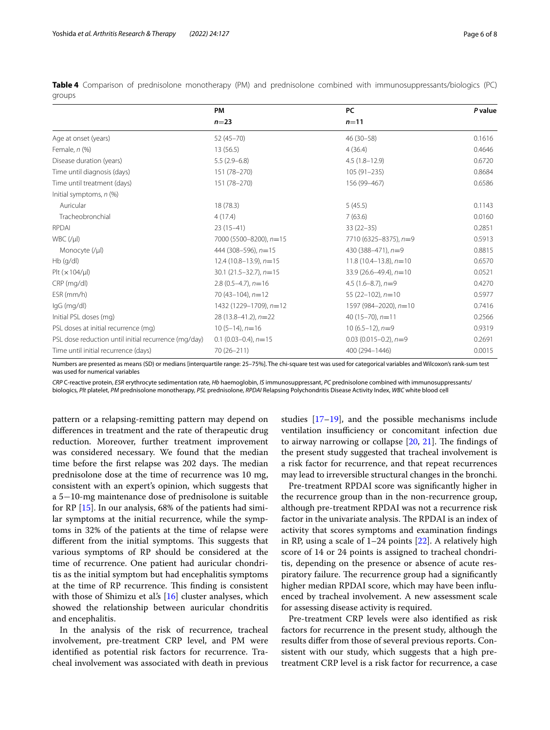|                                                      | PM                         | PC                          | P value |  |
|------------------------------------------------------|----------------------------|-----------------------------|---------|--|
|                                                      | $n=23$                     | $n = 11$                    |         |  |
| Age at onset (years)                                 | $52(45 - 70)$              | 46 (30-58)                  | 0.1616  |  |
| Female, $n$ (%)                                      | 13(56.5)                   | 4(36.4)                     | 0.4646  |  |
| Disease duration (years)                             | $5.5(2.9-6.8)$             | $4.5(1.8 - 12.9)$           | 0.6720  |  |
| Time until diagnosis (days)                          | 151 (78-270)               | $105(91 - 235)$             | 0.8684  |  |
| Time until treatment (days)                          | 151 (78-270)               | 156 (99-467)                | 0.6586  |  |
| Initial symptoms, $n$ (%)                            |                            |                             |         |  |
| Auricular                                            | 18 (78.3)                  | 5(45.5)                     | 0.1143  |  |
| Tracheobronchial                                     | 4(17.4)                    | 7(63.6)                     | 0.0160  |  |
| <b>RPDAI</b>                                         | $23(15-41)$                | $33(22 - 35)$               | 0.2851  |  |
| $WBC$ (/ $\mu$ I)                                    | 7000 (5500-8200), $n=15$   | 7710 (6325-8375), n=9       | 0.5913  |  |
| Monocyte (/µl)                                       | 444 (308-596), $n=15$      | 430 (388-471), $n=9$        | 0.8815  |  |
| $Hb$ (q/dl)                                          | $12.4(10.8-13.9)$ , $n=15$ | $11.8(10.4-13.8), n=10$     | 0.6570  |  |
| Plt $(x 104/\mu)$                                    | $30.1$ (21.5-32.7), $n=15$ | $33.9(26.6 - 49.4), n = 10$ | 0.0521  |  |
| CRP (mg/dl)                                          | $2.8(0.5-4.7)$ , $n=16$    | $4.5(1.6-8.7)$ , $n=9$      | 0.4270  |  |
| ESR (mm/h)                                           | 70 $(43-104)$ , $n=12$     | 55 (22-102), $n=10$         | 0.5977  |  |
| IgG (mg/dl)                                          | 1432 (1229-1709), n=12     | 1597 (984-2020), n=10       | 0.7416  |  |
| Initial PSL doses (mg)                               | $28(13.8-41.2), n=22$      | 40 $(15-70)$ , n=11         | 0.2566  |  |
| PSL doses at initial recurrence (mg)                 | $10(5-14)$ , $n=16$        | $10(6.5-12)$ , $n=9$        | 0.9319  |  |
| PSL dose reduction until initial recurrence (mg/day) | $0.1$ (0.03-0.4), $n=15$   | $0.03$ (0.015-0.2), $n=9$   | 0.2691  |  |
| Time until initial recurrence (days)                 | 70 (26-211)                | 400 (294-1446)              | 0.0015  |  |

<span id="page-5-0"></span>**Table 4** Comparison of prednisolone monotherapy (PM) and prednisolone combined with immunosuppressants/biologics (PC) groups

Numbers are presented as means (SD) or medians [interquartile range: 25–75%]. The chi-square test was used for categorical variables and Wilcoxon's rank-sum test was used for numerical variables

*CRP* C-reactive protein, *ESR* erythrocyte sedimentation rate, *Hb* haemoglobin, *IS* immunosuppressant, *PC* prednisolone combined with immunosuppressants/ biologics, *Plt* platelet, *PM* prednisolone monotherapy, *PSL* prednisolone, *RPDAI* Relapsing Polychondritis Disease Activity Index, *WBC* white blood cell

pattern or a relapsing-remitting pattern may depend on diferences in treatment and the rate of therapeutic drug reduction. Moreover, further treatment improvement was considered necessary. We found that the median time before the first relapse was 202 days. The median prednisolone dose at the time of recurrence was 10 mg, consistent with an expert's opinion, which suggests that a 5−10-mg maintenance dose of prednisolone is suitable for RP [[15](#page-7-14)]. In our analysis, 68% of the patients had similar symptoms at the initial recurrence, while the symptoms in 32% of the patients at the time of relapse were different from the initial symptoms. This suggests that various symptoms of RP should be considered at the time of recurrence. One patient had auricular chondritis as the initial symptom but had encephalitis symptoms at the time of RP recurrence. This finding is consistent with those of Shimizu et al.'s  $[16]$  $[16]$  cluster analyses, which showed the relationship between auricular chondritis and encephalitis.

In the analysis of the risk of recurrence, tracheal involvement, pre-treatment CRP level, and PM were identifed as potential risk factors for recurrence. Tracheal involvement was associated with death in previous studies [\[17](#page-7-16)[–19\]](#page-7-17), and the possible mechanisms include ventilation insufficiency or concomitant infection due to airway narrowing or collapse  $[20, 21]$  $[20, 21]$  $[20, 21]$  $[20, 21]$ . The findings of the present study suggested that tracheal involvement is a risk factor for recurrence, and that repeat recurrences may lead to irreversible structural changes in the bronchi.

Pre-treatment RPDAI score was signifcantly higher in the recurrence group than in the non-recurrence group, although pre-treatment RPDAI was not a recurrence risk factor in the univariate analysis. The RPDAI is an index of activity that scores symptoms and examination fndings in RP, using a scale of  $1-24$  points  $[22]$  $[22]$  $[22]$ . A relatively high score of 14 or 24 points is assigned to tracheal chondritis, depending on the presence or absence of acute respiratory failure. The recurrence group had a significantly higher median RPDAI score, which may have been infuenced by tracheal involvement. A new assessment scale for assessing disease activity is required.

Pre-treatment CRP levels were also identifed as risk factors for recurrence in the present study, although the results difer from those of several previous reports. Consistent with our study, which suggests that a high pretreatment CRP level is a risk factor for recurrence, a case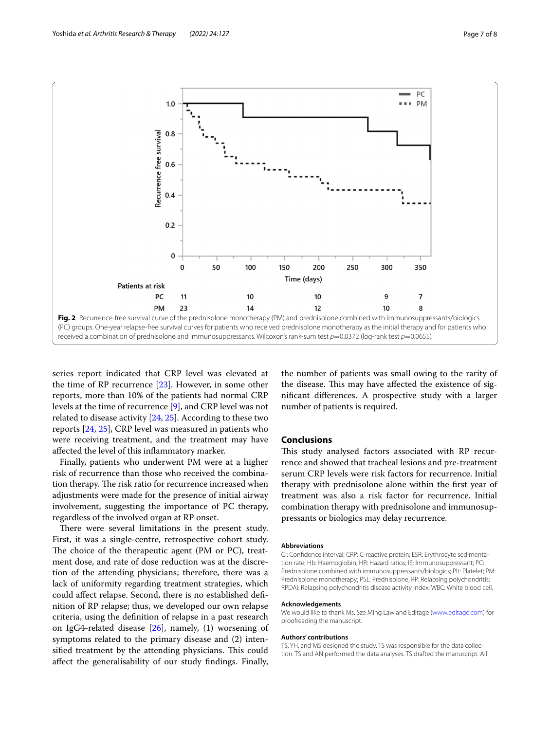

<span id="page-6-0"></span>series report indicated that CRP level was elevated at the time of RP recurrence [\[23\]](#page-7-21). However, in some other reports, more than 10% of the patients had normal CRP levels at the time of recurrence [\[9](#page-7-8)], and CRP level was not related to disease activity [\[24](#page-7-22), [25\]](#page-7-23). According to these two reports [\[24](#page-7-22), [25\]](#page-7-23), CRP level was measured in patients who were receiving treatment, and the treatment may have afected the level of this infammatory marker.

Finally, patients who underwent PM were at a higher risk of recurrence than those who received the combination therapy. The risk ratio for recurrence increased when adjustments were made for the presence of initial airway involvement, suggesting the importance of PC therapy, regardless of the involved organ at RP onset.

There were several limitations in the present study. First, it was a single-centre, retrospective cohort study. The choice of the therapeutic agent (PM or  $PC$ ), treatment dose, and rate of dose reduction was at the discretion of the attending physicians; therefore, there was a lack of uniformity regarding treatment strategies, which could afect relapse. Second, there is no established defnition of RP relapse; thus, we developed our own relapse criteria, using the defnition of relapse in a past research on IgG4-related disease [[26\]](#page-7-24), namely, (1) worsening of symptoms related to the primary disease and (2) intensified treatment by the attending physicians. This could afect the generalisability of our study fndings. Finally, the number of patients was small owing to the rarity of the disease. This may have affected the existence of signifcant diferences. A prospective study with a larger number of patients is required.

### **Conclusions**

This study analysed factors associated with RP recurrence and showed that tracheal lesions and pre-treatment serum CRP levels were risk factors for recurrence. Initial therapy with prednisolone alone within the frst year of treatment was also a risk factor for recurrence. Initial combination therapy with prednisolone and immunosuppressants or biologics may delay recurrence.

#### **Abbreviations**

CI: Confdence interval; CRP: C-reactive protein; ESR: Erythrocyte sedimentation rate; Hb: Haemoglobin; HR: Hazard ratios; IS: Immunosuppressant; PC: Prednisolone combined with immunosuppressants/biologics; Plt: Platelet; PM: Prednisolone monotherapy; PSL: Prednisolone; RP: Relapsing polychondritis; RPDAI: Relapsing polychondritis disease activity index; WBC: White blood cell.

#### **Acknowledgements**

We would like to thank Ms. Sze Ming Law and Editage [\(www.editage.com](http://www.editage.com)) for proofreading the manuscript.

#### **Authors' contributions**

TS, YH, and MS designed the study. TS was responsible for the data collection. TS and AN performed the data analyses. TS drafted the manuscript. All